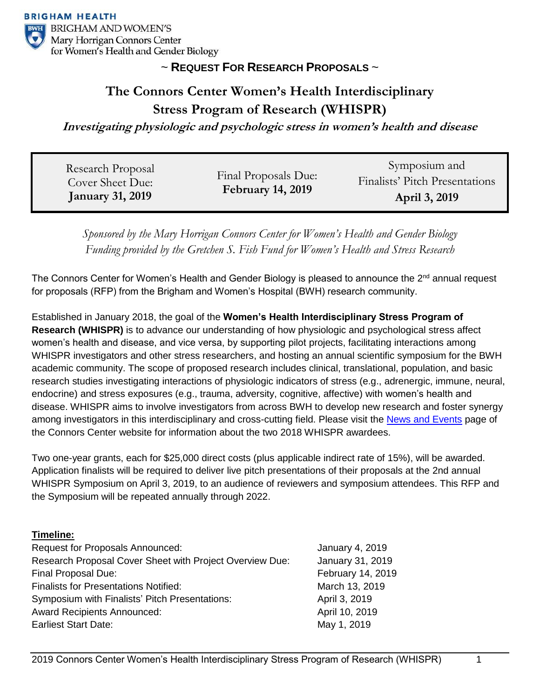

## ~ **REQUEST FOR RESEARCH PROPOSALS** ~

# **The Connors Center Women's Health Interdisciplinary Stress Program of Research (WHISPR)**

**Investigating physiologic and psychologic stress in women's health and disease**

| Research Proposal<br>Cover Sheet Due:<br><b>January 31, 2019</b> | Final Proposals Due:<br><b>February 14, 2019</b> | Symposium and                                   |
|------------------------------------------------------------------|--------------------------------------------------|-------------------------------------------------|
|                                                                  |                                                  | Finalists' Pitch Presentations<br>April 3, 2019 |
|                                                                  |                                                  |                                                 |

*Sponsored by the Mary Horrigan Connors Center for Women's Health and Gender Biology Funding provided by the Gretchen S. Fish Fund for Women's Health and Stress Research*

The Connors Center for Women's Health and Gender Biology is pleased to announce the  $2^{nd}$  annual request for proposals (RFP) from the Brigham and Women's Hospital (BWH) research community.

Established in January 2018, the goal of the **Women's Health Interdisciplinary Stress Program of Research (WHISPR)** is to advance our understanding of how physiologic and psychological stress affect women's health and disease, and vice versa, by supporting pilot projects, facilitating interactions among WHISPR investigators and other stress researchers, and hosting an annual scientific symposium for the BWH academic community. The scope of proposed research includes clinical, translational, population, and basic research studies investigating interactions of physiologic indicators of stress (e.g., adrenergic, immune, neural, endocrine) and stress exposures (e.g., trauma, adversity, cognitive, affective) with women's health and disease. WHISPR aims to involve investigators from across BWH to develop new research and foster synergy among investigators in this interdisciplinary and cross-cutting field. Please visit the [News and Events](https://www.brighamandwomens.org/womens-health/connors-center/news-and-events) page of the Connors Center website for information about the two 2018 WHISPR awardees.

Two one-year grants, each for \$25,000 direct costs (plus applicable indirect rate of 15%), will be awarded. Application finalists will be required to deliver live pitch presentations of their proposals at the 2nd annual WHISPR Symposium on April 3, 2019, to an audience of reviewers and symposium attendees. This RFP and the Symposium will be repeated annually through 2022.

### **Timeline:**

| <b>Request for Proposals Announced:</b>                  | <b>January 4, 2019</b> |
|----------------------------------------------------------|------------------------|
| Research Proposal Cover Sheet with Project Overview Due: | January 31, 2019       |
| Final Proposal Due:                                      | February 14, 2019      |
| <b>Finalists for Presentations Notified:</b>             | March 13, 2019         |
| Symposium with Finalists' Pitch Presentations:           | April 3, 2019          |
| <b>Award Recipients Announced:</b>                       | April 10, 2019         |
| <b>Earliest Start Date:</b>                              | May 1, 2019            |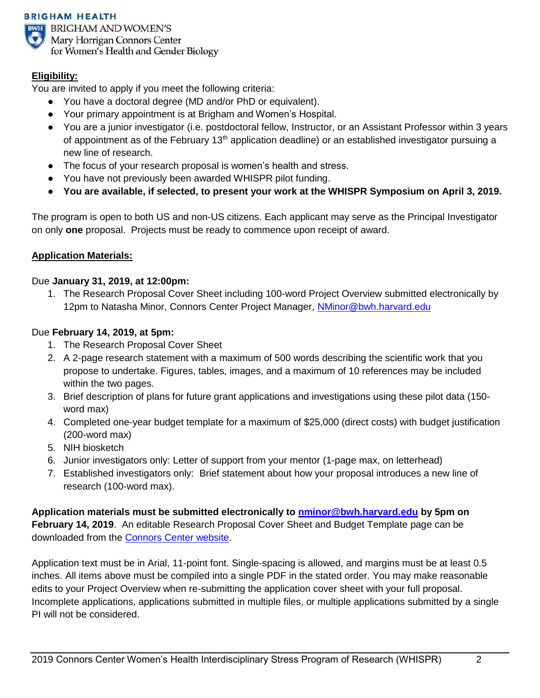#### **BRIGHAM HEALTH**



**EL BRIGHAM AND WOMEN'S** Mary Horrigan Connors Center for Women's Health and Gender Biology

## **Eligibility:**

You are invited to apply if you meet the following criteria:

- You have a doctoral degree (MD and/or PhD or equivalent).
- Your primary appointment is at Brigham and Women's Hospital.
- You are a junior investigator (i.e. postdoctoral fellow, Instructor, or an Assistant Professor within 3 years of appointment as of the February 13<sup>th</sup> application deadline) or an established investigator pursuing a new line of research.
- The focus of your research proposal is women's health and stress.
- You have not previously been awarded WHISPR pilot funding.
- **You are available, if selected, to present your work at the WHISPR Symposium on April 3, 2019.**

The program is open to both US and non-US citizens. Each applicant may serve as the Principal Investigator on only **one** proposal. Projects must be ready to commence upon receipt of award.

## **Application Materials:**

## Due **January 31, 2019, at 12:00pm:**

1. The Research Proposal Cover Sheet including 100-word Project Overview submitted electronically by 12pm to Natasha Minor, Connors Center Project Manager, [NMinor@bwh.harvard.edu](mailto:NMinor@bwh.harvard.edu)

## Due **February 14, 2019, at 5pm:**

- 1. The Research Proposal Cover Sheet
- 2. A 2-page research statement with a maximum of 500 words describing the scientific work that you propose to undertake. Figures, tables, images, and a maximum of 10 references may be included within the two pages.
- 3. Brief description of plans for future grant applications and investigations using these pilot data (150 word max)
- 4. Completed one-year budget template for a maximum of \$25,000 (direct costs) with budget justification (200-word max)
- 5. NIH biosketch
- 6. Junior investigators only: Letter of support from your mentor (1-page max, on letterhead)
- 7. Established investigators only: Brief statement about how your proposal introduces a new line of research (100-word max).

**Application materials must be submitted electronically to [nminor@bwh.harvard.edu](mailto:nminor@bwh.harvard.edu) by 5pm on February 14, 2019**. An editable Research Proposal Cover Sheet and Budget Template page can be downloaded from the [Connors Center website.](https://www.brighamandwomens.org/womens-health/connors-center/news-and-events)

Application text must be in Arial, 11-point font. Single-spacing is allowed, and margins must be at least 0.5 inches. All items above must be compiled into a single PDF in the stated order. You may make reasonable edits to your Project Overview when re-submitting the application cover sheet with your full proposal. Incomplete applications, applications submitted in multiple files, or multiple applications submitted by a single PI will not be considered.